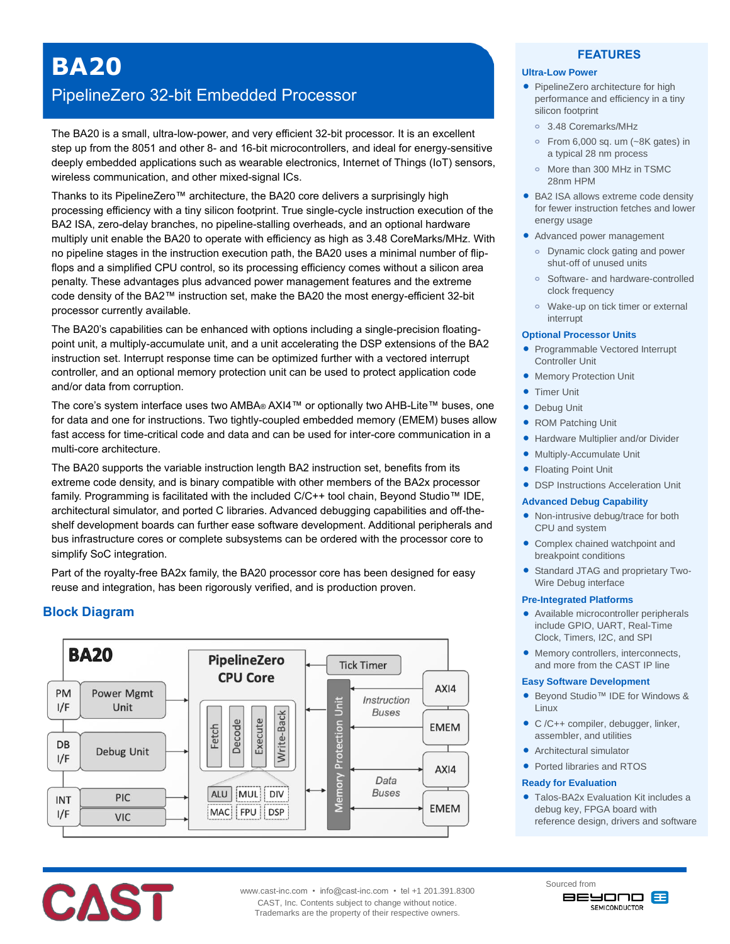# **BA20**

## PipelineZero 32-bit Embedded Processor

The BA20 is a small, ultra-low-power, and very efficient 32-bit processor. It is an excellent step up from the 8051 and other 8- and 16-bit microcontrollers, and ideal for energy-sensitive deeply embedded applications such as wearable electronics, Internet of Things (IoT) sensors, wireless communication, and other mixed-signal ICs.

Thanks to its PipelineZero™ architecture, the BA20 core delivers a surprisingly high processing efficiency with a tiny silicon footprint. True single-cycle instruction execution of the BA2 ISA, zero-delay branches, no pipeline-stalling overheads, and an optional hardware multiply unit enable the BA20 to operate with efficiency as high as 3.48 CoreMarks/MHz. With no pipeline stages in the instruction execution path, the BA20 uses a minimal number of flipflops and a simplified CPU control, so its processing efficiency comes without a silicon area penalty. These advantages plus advanced power management features and the extreme code density of the BA2™ instruction set, make the BA20 the most energy-efficient 32-bit processor currently available.

The BA20's capabilities can be enhanced with options including a single-precision floatingpoint unit, a multiply-accumulate unit, and a unit accelerating the DSP extensions of the BA2 instruction set. Interrupt response time can be optimized further with a vectored interrupt controller, and an optional memory protection unit can be used to protect application code and/or data from corruption.

The core's system interface uses two AMBA® AXI4™ or optionally two AHB-Lite™ buses, one for data and one for instructions. Two tightly-coupled embedded memory (EMEM) buses allow fast access for time-critical code and data and can be used for inter-core communication in a multi-core architecture.

The BA20 supports the variable instruction length BA2 instruction set, benefits from its extreme code density, and is binary compatible with other members of the BA2x processor family. Programming is facilitated with the included C/C++ tool chain, Beyond Studio™ IDE, architectural simulator, and ported C libraries. Advanced debugging capabilities and off-theshelf development boards can further ease software development. Additional peripherals and bus infrastructure cores or complete subsystems can be ordered with the processor core to simplify SoC integration.

Part of the royalty-free BA2x family, the BA20 processor core has been designed for easy reuse and integration, has been rigorously verified, and is production proven.

## **Block Diagram**

**CAST** 



## **Ultra-Low Power**

• PipelineZero architecture for high performance and efficiency in a tiny silicon footprint

**FEATURES**

- **o** 3.48 Coremarks/MHz
- **o** From 6,000 sq. um (~8K gates) in a typical 28 nm process
- **o** More than 300 MHz in TSMC 28nm HPM
- BA2 ISA allows extreme code density for fewer instruction fetches and lower energy usage
- Advanced power management
	- **o** Dynamic clock gating and power shut-off of unused units
	- **o** Software- and hardware-controlled clock frequency
	- **o** Wake-up on tick timer or external interrupt

#### **Optional Processor Units**

- Programmable Vectored Interrupt Controller Unit
- **Memory Protection Unit**
- **Timer Unit**
- **•** Debug Unit
- ROM Patching Unit
- Hardware Multiplier and/or Divider
- Multiply-Accumulate Unit
- **Floating Point Unit**
- DSP Instructions Acceleration Unit

#### **Advanced Debug Capability**

- Non-intrusive debug/trace for both CPU and system
- Complex chained watchpoint and breakpoint conditions
- Standard JTAG and proprietary Two-Wire Debug interface

#### **Pre-Integrated Platforms**

- Available microcontroller peripherals include GPIO, UART, Real-Time Clock, Timers, I2C, and SPI
- Memory controllers, interconnects, and more from the CAST IP line

#### **Easy Software Development**

- Beyond Studio™ IDE for Windows & Linux
- C /C++ compiler, debugger, linker, assembler, and utilities
- Architectural simulator
- Ported libraries and RTOS

#### **Ready for Evaluation**

 Talos-BA2x Evaluation Kit includes a debug key, FPGA board with reference design, drivers and software



Sourced from **BEYOND &** SEMICONDUCTOR